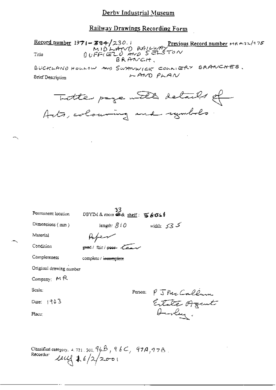Record number 1971-384/230.1<br>MIDLAND RAILWAY<br>Title  $0 \cup F \in (E1, 0)$  and  $S \in \mathbb{R}$  To N<br>BRANCH,

BUCKLAND HOULOW AND SWANWICK COLLIERY BRANCHES. LAND PLAN **Brief Description** 

Totte page with details of

| Permanent location            | 33<br>DBYIM & room @ & shelf: 写6041 |         |                               |
|-------------------------------|-------------------------------------|---------|-------------------------------|
| Dimensions (mm)               | length: $810$                       |         | ک کی = width:                 |
| Material                      |                                     |         |                               |
| Condition                     | good / fair / poor lear             |         |                               |
| Completeness                  | complete / incomplete               |         |                               |
| Original drawing number       |                                     |         |                               |
| Company: MR                   |                                     |         |                               |
| Scale:                        |                                     | Person: |                               |
| Date: 1903                    |                                     |         | P J McCallum<br>Extate Organt |
| $\mathbf{Place}_{\mathbb{C}}$ |                                     |         | Ourley.                       |
|                               |                                     |         |                               |
|                               |                                     |         |                               |

Classified category. 4, 721, 301,  $96B$ ,  $96C$ ,  $97A$ ,  $97B$ . Recorder:  $244.6/2/2001$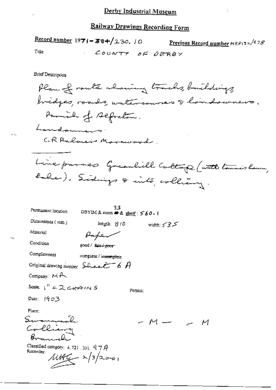Record number  $1971 - 384/230$ , 10 Previous Record number  $MRP$ 13 $\approx$ /97 $S$ COUNTY OF DERBY Tiue

Brief Description

Plan of route showing tracks, buildings, bridges, roads, watercourses & landsweers. Parish of segretion. Landouners. CR Ralmer Marcoood. Line passes Greenlill Caltage (with tennislam, holes). Sidings & into colliany.

М

| Permanent location                                           |                              | 33<br>DBYIM& room – ゆ& shelf: 560 · 1 |              |  |
|--------------------------------------------------------------|------------------------------|---------------------------------------|--------------|--|
| Dimensions (mm)                                              | length: S (D)                |                                       | width: $555$ |  |
| Material                                                     |                              |                                       |              |  |
| Condition                                                    | good / kair <del>/poor</del> |                                       |              |  |
| Completeness                                                 | complete / incomplete        |                                       |              |  |
| Original drawing number $\text{S}$ be extended by $\theta$   |                              |                                       |              |  |
| Company: $M \rightarrow$                                     |                              |                                       |              |  |
| Scale: $1'' = 2$ c+ $47$ (N S                                |                              | Person:                               |              |  |
| Date: $1903$                                                 |                              |                                       |              |  |
| Place:                                                       |                              |                                       |              |  |
|                                                              |                              |                                       |              |  |
| می به سال سکت                                                |                              |                                       |              |  |
|                                                              |                              |                                       |              |  |
| Classified category: $4.721$ , $301$ , $97$ $A$<br>Recorder: |                              |                                       |              |  |
| $\mu$ tt $\frac{c}{4}$ 2/3/2                                 |                              |                                       |              |  |
|                                                              |                              |                                       |              |  |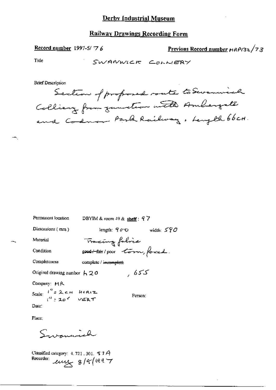Record number 1997-5/ $\sqrt{7}$  6

Previous Record number HRPI32/73

Title

SWANWICK COLLIERY

**Brief Description** 

Section of proposed route to Suremind Colliery from zumeter with Ambergate and Codnon Park Railway. Length 66cm.

| Permanent location                 | DBYIM & room $49$ & shelf : $97$  |              |  |
|------------------------------------|-----------------------------------|--------------|--|
| Dimensions (mm)                    | length: <i>90</i> O               | width: $590$ |  |
| Material                           | Tracing falric                    |              |  |
| Condition                          | good to pour torm, forced.        |              |  |
| Completeness                       | complete / i <del>ncomplete</del> |              |  |
| Original drawing number $A$ 20     |                                   | ك كار ,      |  |
| Company: MR                        |                                   |              |  |
| Scale: $\frac{1}{n}$ = 2 c + HORIZ |                                   | Person:      |  |
| Date:                              |                                   |              |  |

Place:

Swammich

Classified category:  $4.721$ , 301.  $67A$ Recorder:  $e^{i\theta}$  8/9/1997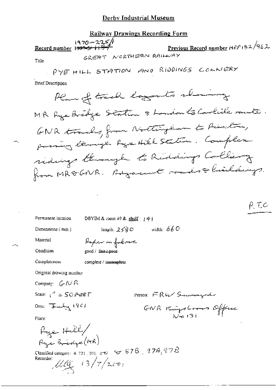### Derby Industrial Museum

## Railway Drawings Recording Form

1970~225/1<br>Record number 1<del>997-5/1187</del>

Previous Record number MRP 132/962 GREAT NORTHERN RAILWAY

Title

**Brief Description** 

 $\rho$  TC

Permanent location

DBYIM & room  $49$  & shelf:  $141$ 

length,  $255C$  width:  $66C$ 

Dimensions (mm)

Material

Condition

Completeness

Paper ne folcar good / fair / poor

complete / incomplete

Original drawing number

Company:  $G/NR$ 

Scale:  $\frac{d}{dx}$  = 50 ABET

Person: FRW Seconograph

GNR Kings Crown Office

Date: July 1961

Place:

 $\mu_{\mathcal{H}^{\mathcal{L}}}$  Helle Rye Bredge (MR)

Classified category: 4, 721, 301,  $\sigma \phi = \Theta \otimes \theta$ , 774, 778 Recorder  $13/7/200$